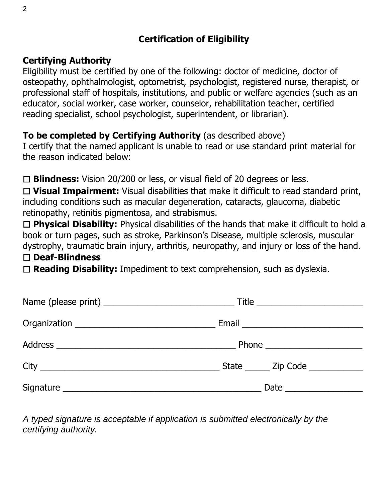# **Certification of Eligibility**

### **Certifying Authority**

Eligibility must be certified by one of the following: doctor of medicine, doctor of osteopathy, ophthalmologist, optometrist, psychologist, registered nurse, therapist, or professional staff of hospitals, institutions, and public or welfare agencies (such as an educator, social worker, case worker, counselor, rehabilitation teacher, certified reading specialist, school psychologist, superintendent, or librarian).

## **To be completed by Certifying Authority** (as described above)

I certify that the named applicant is unable to read or use standard print material for the reason indicated below:

☐ **Blindness:** Vision 20/200 or less, or visual field of 20 degrees or less.

☐ **Visual Impairment:** Visual disabilities that make it difficult to read standard print, including conditions such as macular degeneration, cataracts, glaucoma, diabetic retinopathy, retinitis pigmentosa, and strabismus.

☐ **Physical Disability:** Physical disabilities of the hands that make it difficult to hold a book or turn pages, such as stroke, Parkinson's Disease, multiple sclerosis, muscular dystrophy, traumatic brain injury, arthritis, neuropathy, and injury or loss of the hand.

#### ☐ **Deaf-Blindness**

☐ **Reading Disability:** Impediment to text comprehension, such as dyslexia.

| $\begin{tabular}{c} Title & \textbf{0.00} \end{tabular}$ |
|----------------------------------------------------------|
|                                                          |
|                                                          |
| State _______ Zip Code ___________                       |
|                                                          |

*A typed signature is acceptable if application is submitted electronically by the certifying authority.*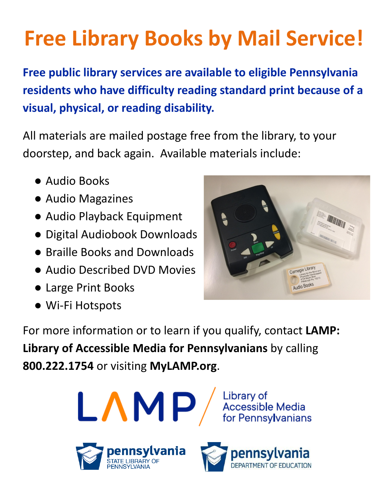# **Free Library Books by Mail Service!**

**Free public library services are available to eligible Pennsylvania residents who have difficulty reading standard print because of a visual, physical, or reading disability.**

All materials are mailed postage free from the library, to your doorstep, and back again. Available materials include:

- Audio Books
- Audio Magazines
- Audio Playback Equipment
- Digital Audiobook Downloads
- Braille Books and Downloads
- Audio Described DVD Movies
- Large Print Books
- Wi-Fi Hotspots



For more information or to learn if you qualify, contact **LAMP: Library of Accessible Media for Pennsylvanians** by calling **800.222.1754** or visiting **MyLAMP.org**.



**FNNSYLVANI**